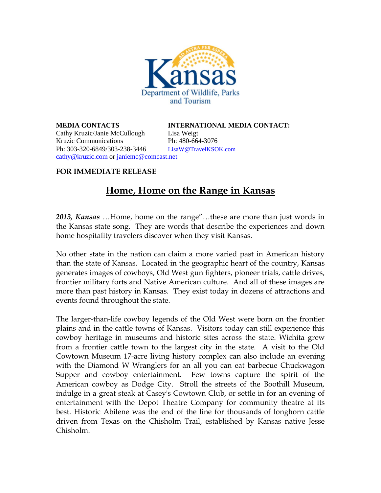

Cathy Kruzic/Janie McCullough Lisa Weigt Kruzic Communications Ph: 480-664-3076 Ph: 303-320-6849/303-238-3446 [LisaW@TravelKSOK.com](mailto:LisaW@TravelKSOK.com) [cathy@kruzic.com](mailto:cathy@kruzic.com) or [janiemc@comcast.net](mailto:janiemc@comcast.net)

**MEDIA CONTACTS INTERNATIONAL MEDIA CONTACT:**

## **FOR IMMEDIATE RELEASE**

## **Home, Home on the Range in Kansas**

*2013, Kansas* …Home, home on the range"…these are more than just words in the Kansas state song. They are words that describe the experiences and down home hospitality travelers discover when they visit Kansas.

No other state in the nation can claim a more varied past in American history than the state of Kansas. Located in the geographic heart of the country, Kansas generates images of cowboys, Old West gun fighters, pioneer trials, cattle drives, frontier military forts and Native American culture. And all of these images are more than past history in Kansas. They exist today in dozens of attractions and events found throughout the state.

The larger-than-life cowboy legends of the Old West were born on the frontier plains and in the cattle towns of Kansas. Visitors today can still experience this cowboy heritage in museums and historic sites across the state. Wichita grew from a frontier cattle town to the largest city in the state. A visit to the Old Cowtown Museum 17-acre living history complex can also include an evening with the Diamond W Wranglers for an all you can eat barbecue Chuckwagon Supper and cowboy entertainment. Few towns capture the spirit of the American cowboy as Dodge City. Stroll the streets of the Boothill Museum, indulge in a great steak at Casey's Cowtown Club, or settle in for an evening of entertainment with the Depot Theatre Company for community theatre at its best. Historic Abilene was the end of the line for thousands of longhorn cattle driven from Texas on the Chisholm Trail, established by Kansas native Jesse Chisholm.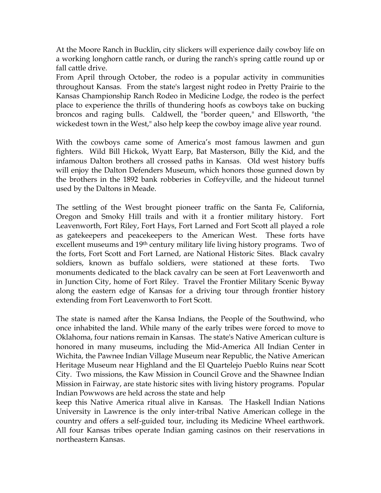At the Moore Ranch in Bucklin, city slickers will experience daily cowboy life on a working longhorn cattle ranch, or during the ranch's spring cattle round up or fall cattle drive.

From April through October, the rodeo is a popular activity in communities throughout Kansas. From the state's largest night rodeo in Pretty Prairie to the Kansas Championship Ranch Rodeo in Medicine Lodge, the rodeo is the perfect place to experience the thrills of thundering hoofs as cowboys take on bucking broncos and raging bulls. Caldwell, the "border queen," and Ellsworth, "the wickedest town in the West," also help keep the cowboy image alive year round.

With the cowboys came some of America's most famous lawmen and gun fighters. Wild Bill Hickok, Wyatt Earp, Bat Masterson, Billy the Kid, and the infamous Dalton brothers all crossed paths in Kansas. Old west history buffs will enjoy the Dalton Defenders Museum, which honors those gunned down by the brothers in the 1892 bank robberies in Coffeyville, and the hideout tunnel used by the Daltons in Meade.

The settling of the West brought pioneer traffic on the Santa Fe, California, Oregon and Smoky Hill trails and with it a frontier military history. Fort Leavenworth, Fort Riley, Fort Hays, Fort Larned and Fort Scott all played a role as gatekeepers and peacekeepers to the American West. These forts have excellent museums and 19th century military life living history programs. Two of the forts, Fort Scott and Fort Larned, are National Historic Sites. Black cavalry soldiers, known as buffalo soldiers, were stationed at these forts. Two monuments dedicated to the black cavalry can be seen at Fort Leavenworth and in Junction City, home of Fort Riley. Travel the Frontier Military Scenic Byway along the eastern edge of Kansas for a driving tour through frontier history extending from Fort Leavenworth to Fort Scott.

The state is named after the Kansa Indians, the People of the Southwind, who once inhabited the land. While many of the early tribes were forced to move to Oklahoma, four nations remain in Kansas. The state's Native American culture is honored in many museums, including the Mid-America All Indian Center in Wichita, the Pawnee Indian Village Museum near Republic, the Native American Heritage Museum near Highland and the El Quartelejo Pueblo Ruins near Scott City. Two missions, the Kaw Mission in Council Grove and the Shawnee Indian Mission in Fairway, are state historic sites with living history programs. Popular Indian Powwows are held across the state and help

keep this Native America ritual alive in Kansas. The Haskell Indian Nations University in Lawrence is the only inter-tribal Native American college in the country and offers a self-guided tour, including its Medicine Wheel earthwork. All four Kansas tribes operate Indian gaming casinos on their reservations in northeastern Kansas.